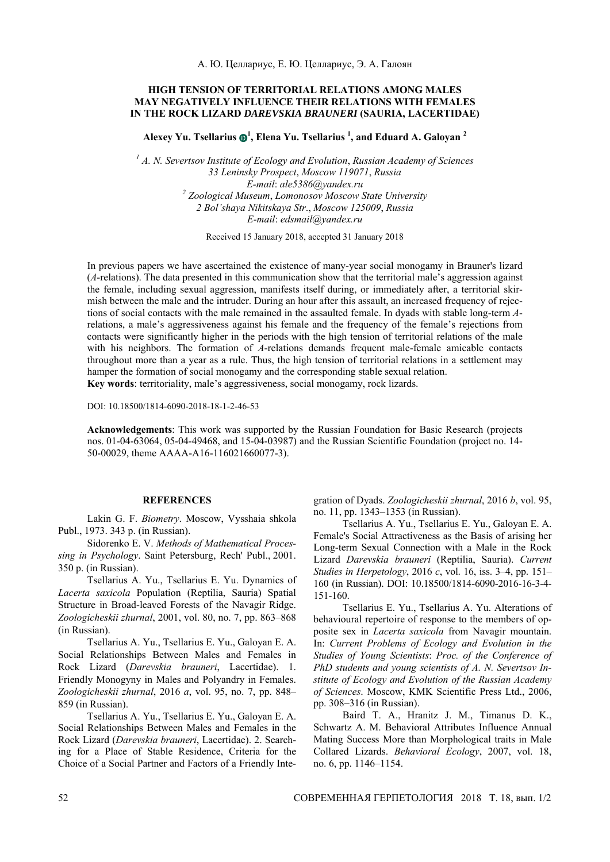## **HIGH TENSION OF TERRITORIAL RELATIONS AMONG MALES MAY NEGATIVELY INFLUENCE THEIR RELATIONS WITH FEMALES IN THE ROCK LIZARD** *DAREVSKIA BRAUNERI* **(SAURIA, LACERTIDAE)**

**Alexey Yu. Tsellarius**  $\mathbf{\Theta}^1$ **, Elena Yu. Tsellarius**  $^1$ **, and Eduard A. Galoyan**  $^2$ 

*1 A. N. Severtsov Institute of Ecology and Evolution*, *Russian Academy of Sciences 33 Leninsky Prospect*, *Moscow 119071*, *Russia E-mail*: *ale5386*@*yandex.ru 2 Zoological Museum*, *Lomonosov Moscow State University 2 Bol'shaya Nikitskaya Str*., *Moscow 125009*, *Russia E-mail*: *edsmail*@*yandex.ru*

Received 15 January 2018, accepted 31 January 2018

In previous papers we have ascertained the existence of many-year social monogamy in Brauner's lizard (*A*-relations). The data presented in this communication show that the territorial male's aggression against the female, including sexual aggression, manifests itself during, or immediately after, a territorial skirmish between the male and the intruder. During an hour after this assault, an increased frequency of rejections of social contacts with the male remained in the assaulted female. In dyads with stable long-term *A*relations, a male's aggressiveness against his female and the frequency of the female's rejections from contacts were significantly higher in the periods with the high tension of territorial relations of the male with his neighbors. The formation of *A*-relations demands frequent male-female amicable contacts throughout more than a year as a rule. Thus, the high tension of territorial relations in a settlement may hamper the formation of social monogamy and the corresponding stable sexual relation. **Key words**: territoriality, male's aggressiveness, social monogamy, rock lizards.

DOI: 10.18500/1814-6090-2018-18-1-2-46-53

**Acknowledgements**: This work was supported by the Russian Foundation for Basic Research (projects nos. 01-04-63064, 05-04-49468, and 15-04-03987) and the Russian Scientific Foundation (project no. 14- 50-00029, theme АААА-А16-116021660077-3).

## **REFERENCES**

Lakin G. F. *Biometry*. Moscow, Vysshaia shkola Publ., 1973. 343 p. (in Russian).

Sidorenko E. V. *Methods of Mathematical Processing in Psychology*. Saint Petersburg, Rech' Publ., 2001. 350 p. (in Russian).

Tsellarius A. Yu., Tsellarius E. Yu. Dynamics of *Lacerta saxicola* Population (Reptilia, Sauria) Spatial Structure in Broad-leaved Forests of the Navagir Ridge. *Zoologicheskii zhurnal*, 2001, vol. 80, no. 7, pp. 863–868 (in Russian).

Tsellarius A. Yu., Tsellarius E. Yu., Galoyan E. A. Social Relationships Between Males and Females in Rock Lizard (*Darevskia brauneri*, Lacertidae). 1. Friendly Monogyny in Males and Polyandry in Females. *Zoologicheskii zhurnal*, 2016 *a*, vol. 95, no. 7, pp. 848– 859 (in Russian).

Tsellarius A. Yu., Tsellarius E. Yu., Galoyan E. A. Social Relationships Between Males and Females in the Rock Lizard (*Darevskia brauneri*, Lacertidae). 2. Searching for a Place of Stable Residence, Criteria for the Choice of a Social Partner and Factors of a Friendly Integration of Dyads. *Zoologicheskii zhurnal*, 2016 *b*, vol. 95, no. 11, pp. 1343–1353 (in Russian).

Tsellarius A. Yu., Tsellarius E. Yu., Galoyan E. A. Female's Social Attractiveness as the Basis of arising her Long-term Sexual Connection with a Male in the Rock Lizard *Darevskia brauneri* (Reptilia, Sauria). *Current Studies in Herpetology*, 2016 *c*, vol. 16, iss. 3–4, pp. 151– 160 (in Russian). DOI: 10.18500/1814-6090-2016-16-3-4- 151-160.

Tsellarius E. Yu., Tsellarius A. Yu. Alterations of behavioural repertoire of response to the members of opposite sex in *Lacerta saxicola* from Navagir mountain. In: *Current Problems of Ecology and Evolution in the Studies of Young Scientists*: *Proc. of the Conference of PhD students and young scientists of A. N. Severtsov Institute of Ecology and Evolution of the Russian Academy of Sciences*. Moscow, KMK Scientific Press Ltd., 2006, pp. 308–316 (in Russian).

Baird T. A., Hranitz J. M., Timanus D. K., Schwartz A. M. Behavioral Attributes Influence Annual Mating Success More than Morphological traits in Male Collared Lizards. *Behavioral Ecology*, 2007, vol. 18, no. 6, pp. 1146–1154.